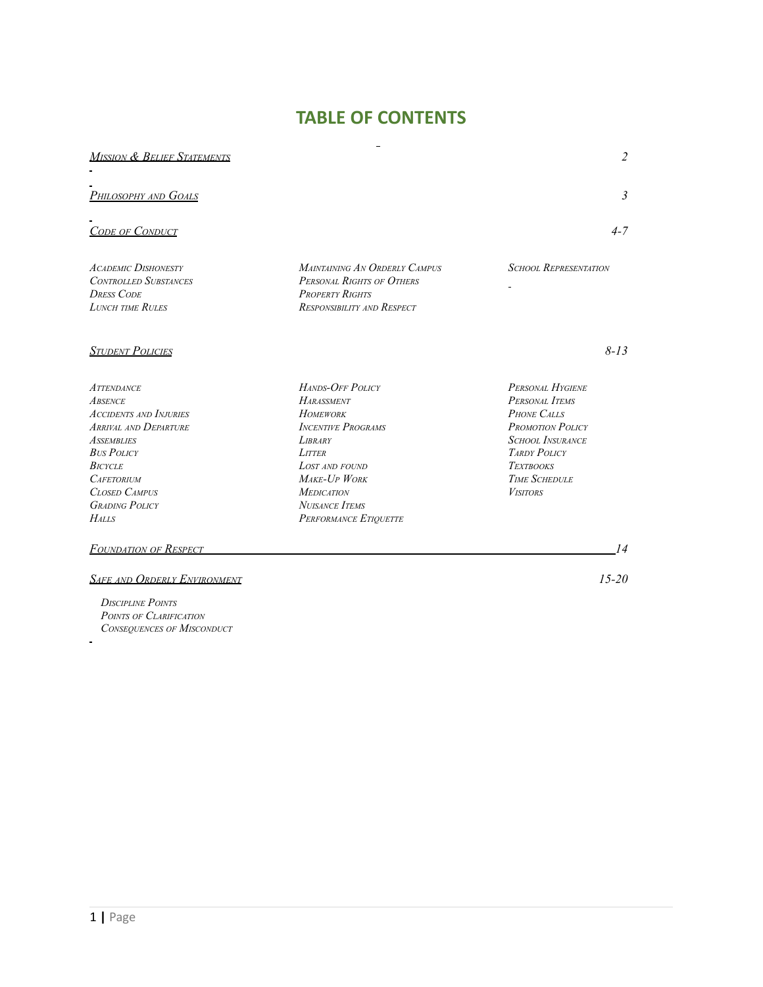# **TABLE OF CONTENTS**

| <b>MISSION &amp; BELIEF STATEMENTS</b>                                                                                                                                                                                                          |                                                                                                                                                                                                                                   | $\overline{c}$                                                                                                                                                                                       |
|-------------------------------------------------------------------------------------------------------------------------------------------------------------------------------------------------------------------------------------------------|-----------------------------------------------------------------------------------------------------------------------------------------------------------------------------------------------------------------------------------|------------------------------------------------------------------------------------------------------------------------------------------------------------------------------------------------------|
| <u>Philosophy and Goals</u>                                                                                                                                                                                                                     |                                                                                                                                                                                                                                   | $\mathfrak{Z}$                                                                                                                                                                                       |
| <b>CODE OF CONDUCT</b>                                                                                                                                                                                                                          |                                                                                                                                                                                                                                   | $4 - 7$                                                                                                                                                                                              |
| <b>ACADEMIC DISHONESTY</b><br><b>CONTROLLED SUBSTANCES</b><br><b>DRESS CODE</b><br><b>LUNCH TIME RULES</b>                                                                                                                                      | MAINTAINING AN ORDERLY CAMPUS<br>PERSONAL RIGHTS OF OTHERS<br><b>PROPERTY RIGHTS</b><br>RESPONSIBILITY AND RESPECT                                                                                                                | <b>SCHOOL REPRESENTATION</b>                                                                                                                                                                         |
| <b>STUDENT POLICIES</b>                                                                                                                                                                                                                         |                                                                                                                                                                                                                                   | $8 - 13$                                                                                                                                                                                             |
| <b>ATTENDANCE</b><br><b>ABSENCE</b><br><b>ACCIDENTS AND INJURIES</b><br><b>ARRIVAL AND DEPARTURE</b><br><b>ASSEMBLIES</b><br><b>BUS POLICY</b><br><b>BICYCLE</b><br><b>CAFETORIUM</b><br>CLOSED CAMPUS<br><b>GRADING POLICY</b><br><b>HALLS</b> | HANDS-OFF POLICY<br><b>HARASSMENT</b><br><b>HOMEWORK</b><br><b>INCENTIVE PROGRAMS</b><br><b>LIBRARY</b><br>LITTER<br><b>LOST AND FOUND</b><br>MAKE-UP WORK<br><b>MEDICATION</b><br><b>NUISANCE ITEMS</b><br>PERFORMANCE ETIQUETTE | PERSONAL HYGIENE<br>PERSONAL ITEMS<br><b>PHONE CALLS</b><br><b>PROMOTION POLICY</b><br><b>SCHOOL INSURANCE</b><br><b>TARDY POLICY</b><br><b>TEXTBOOKS</b><br><b>TIME SCHEDULE</b><br><b>VISITORS</b> |
| Foundation of Respect                                                                                                                                                                                                                           |                                                                                                                                                                                                                                   | 14                                                                                                                                                                                                   |

#### *SAFE AND ORDERLY ENVIRONMENT 15-20*

*DISCIPLINE POINTS POINTS OF CLARIFICATION CONSEQUENCES OF MISCONDUCT*

 $\overline{\phantom{a}}$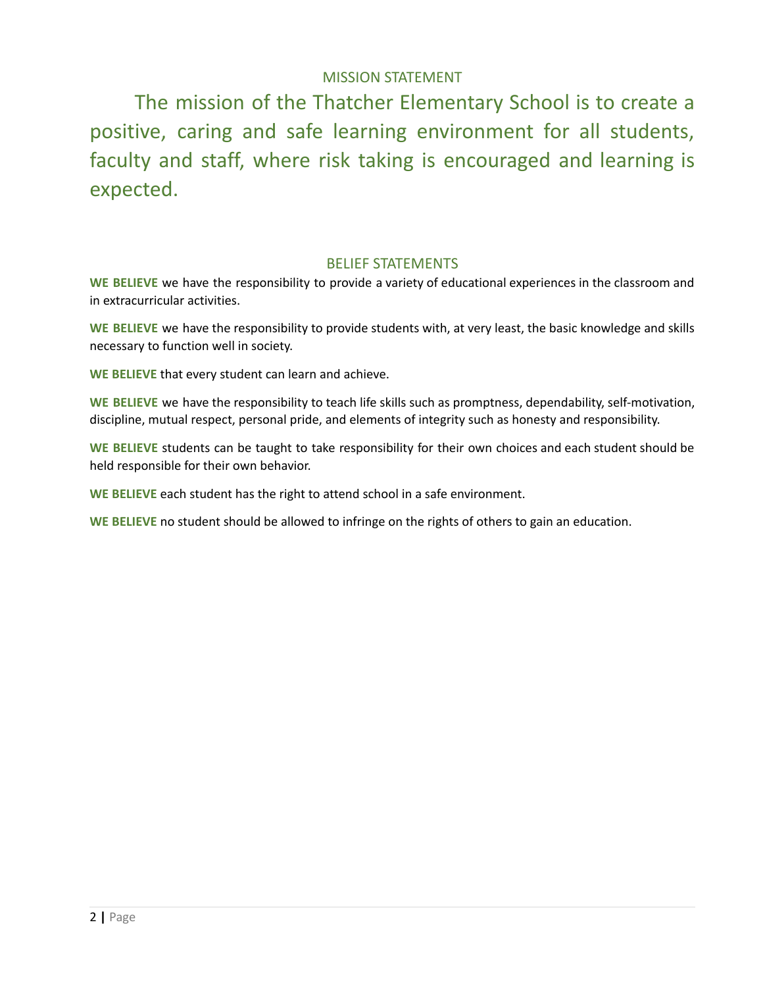# MISSION STATEMENT

The mission of the Thatcher Elementary School is to create a positive, caring and safe learning environment for all students, faculty and staff, where risk taking is encouraged and learning is expected.

#### BELIEF STATEMENTS

**WE BELIEVE** we have the responsibility to provide a variety of educational experiences in the classroom and in extracurricular activities.

**WE BELIEVE** we have the responsibility to provide students with, at very least, the basic knowledge and skills necessary to function well in society.

**WE BELIEVE** that every student can learn and achieve.

**WE BELIEVE** we have the responsibility to teach life skills such as promptness, dependability, self-motivation, discipline, mutual respect, personal pride, and elements of integrity such as honesty and responsibility.

**WE BELIEVE** students can be taught to take responsibility for their own choices and each student should be held responsible for their own behavior.

**WE BELIEVE** each student has the right to attend school in a safe environment.

**WE BELIEVE** no student should be allowed to infringe on the rights of others to gain an education.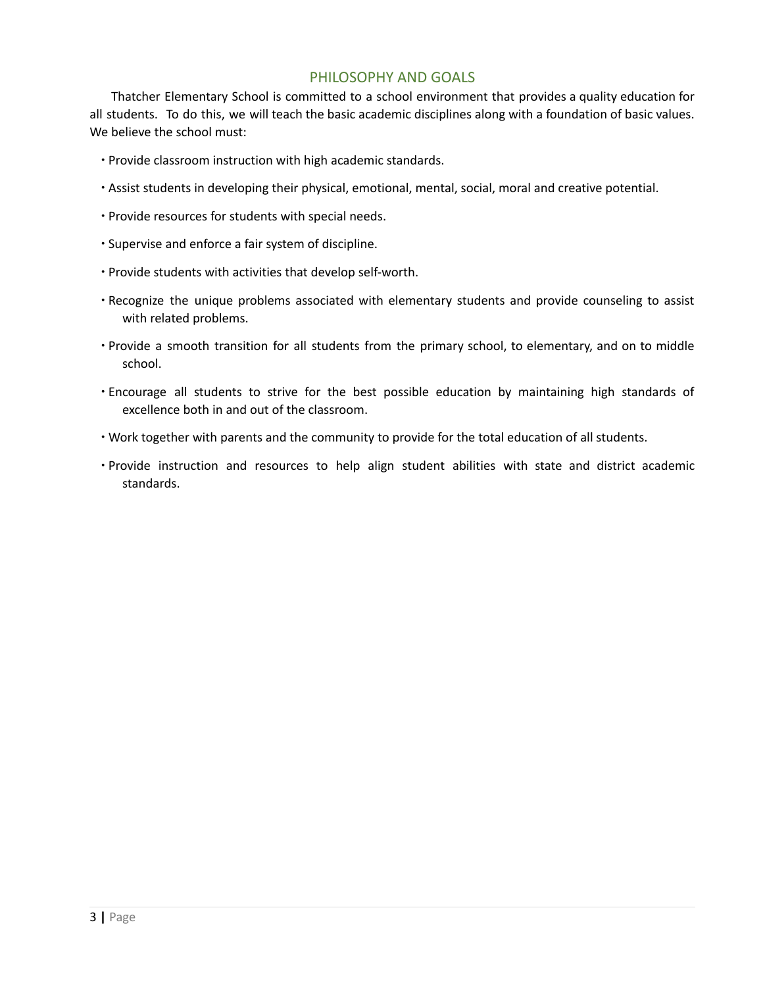#### PHILOSOPHY AND GOALS

Thatcher Elementary School is committed to a school environment that provides a quality education for all students. To do this, we will teach the basic academic disciplines along with a foundation of basic values. We believe the school must:

- ∙ Provide classroom instruction with high academic standards.
- ∙ Assist students in developing their physical, emotional, mental, social, moral and creative potential.
- ∙ Provide resources for students with special needs.
- ∙ Supervise and enforce a fair system of discipline.
- ∙ Provide students with activities that develop self-worth.
- ∙ Recognize the unique problems associated with elementary students and provide counseling to assist with related problems.
- ∙ Provide a smooth transition for all students from the primary school, to elementary, and on to middle school.
- ∙ Encourage all students to strive for the best possible education by maintaining high standards of excellence both in and out of the classroom.
- ∙ Work together with parents and the community to provide for the total education of all students.
- ∙ Provide instruction and resources to help align student abilities with state and district academic standards.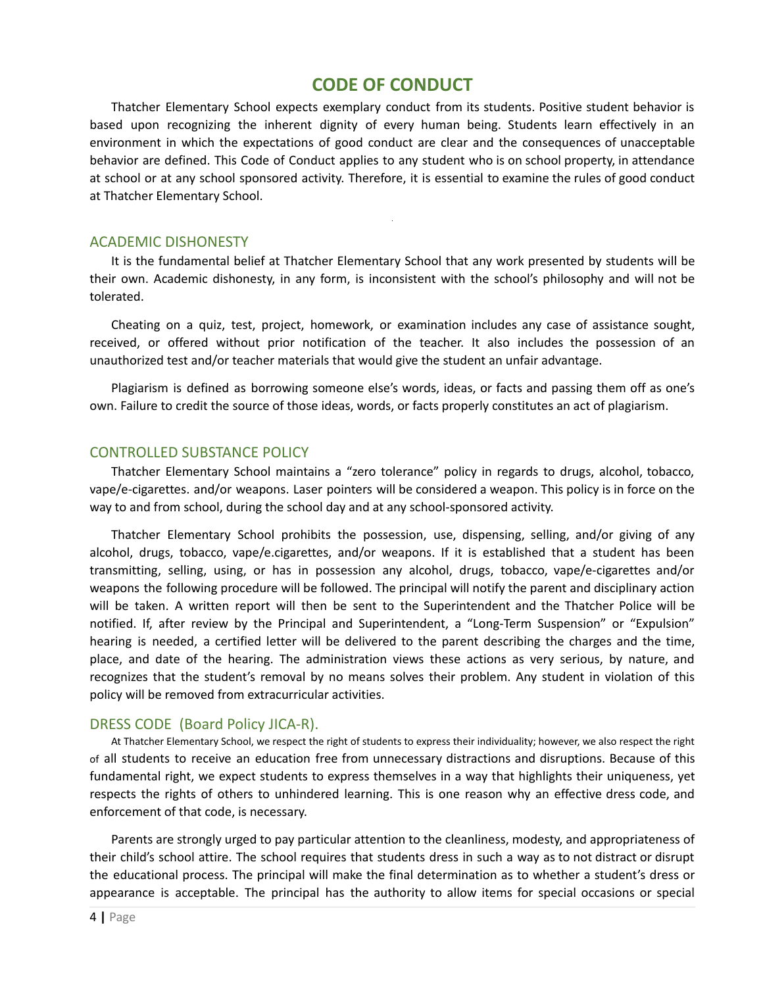# **CODE OF CONDUCT**

Thatcher Elementary School expects exemplary conduct from its students. Positive student behavior is based upon recognizing the inherent dignity of every human being. Students learn effectively in an environment in which the expectations of good conduct are clear and the consequences of unacceptable behavior are defined. This Code of Conduct applies to any student who is on school property, in attendance at school or at any school sponsored activity. Therefore, it is essential to examine the rules of good conduct at Thatcher Elementary School.

#### ACADEMIC DISHONESTY

It is the fundamental belief at Thatcher Elementary School that any work presented by students will be their own. Academic dishonesty, in any form, is inconsistent with the school's philosophy and will not be tolerated.

Cheating on a quiz, test, project, homework, or examination includes any case of assistance sought, received, or offered without prior notification of the teacher. It also includes the possession of an unauthorized test and/or teacher materials that would give the student an unfair advantage.

Plagiarism is defined as borrowing someone else's words, ideas, or facts and passing them off as one's own. Failure to credit the source of those ideas, words, or facts properly constitutes an act of plagiarism.

#### CONTROLLED SUBSTANCE POLICY

Thatcher Elementary School maintains a "zero tolerance" policy in regards to drugs, alcohol, tobacco, vape/e-cigarettes. and/or weapons. Laser pointers will be considered a weapon. This policy is in force on the way to and from school, during the school day and at any school-sponsored activity.

Thatcher Elementary School prohibits the possession, use, dispensing, selling, and/or giving of any alcohol, drugs, tobacco, vape/e.cigarettes, and/or weapons. If it is established that a student has been transmitting, selling, using, or has in possession any alcohol, drugs, tobacco, vape/e-cigarettes and/or weapons the following procedure will be followed. The principal will notify the parent and disciplinary action will be taken. A written report will then be sent to the Superintendent and the Thatcher Police will be notified. If, after review by the Principal and Superintendent, a "Long-Term Suspension" or "Expulsion" hearing is needed, a certified letter will be delivered to the parent describing the charges and the time, place, and date of the hearing. The administration views these actions as very serious, by nature, and recognizes that the student's removal by no means solves their problem. Any student in violation of this policy will be removed from extracurricular activities.

#### DRESS CODE (Board Policy JICA-R).

At Thatcher Elementary School, we respect the right of students to express their individuality; however, we also respect the right of all students to receive an education free from unnecessary distractions and disruptions. Because of this fundamental right, we expect students to express themselves in a way that highlights their uniqueness, yet respects the rights of others to unhindered learning. This is one reason why an effective dress code, and enforcement of that code, is necessary.

Parents are strongly urged to pay particular attention to the cleanliness, modesty, and appropriateness of their child's school attire. The school requires that students dress in such a way as to not distract or disrupt the educational process. The principal will make the final determination as to whether a student's dress or appearance is acceptable. The principal has the authority to allow items for special occasions or special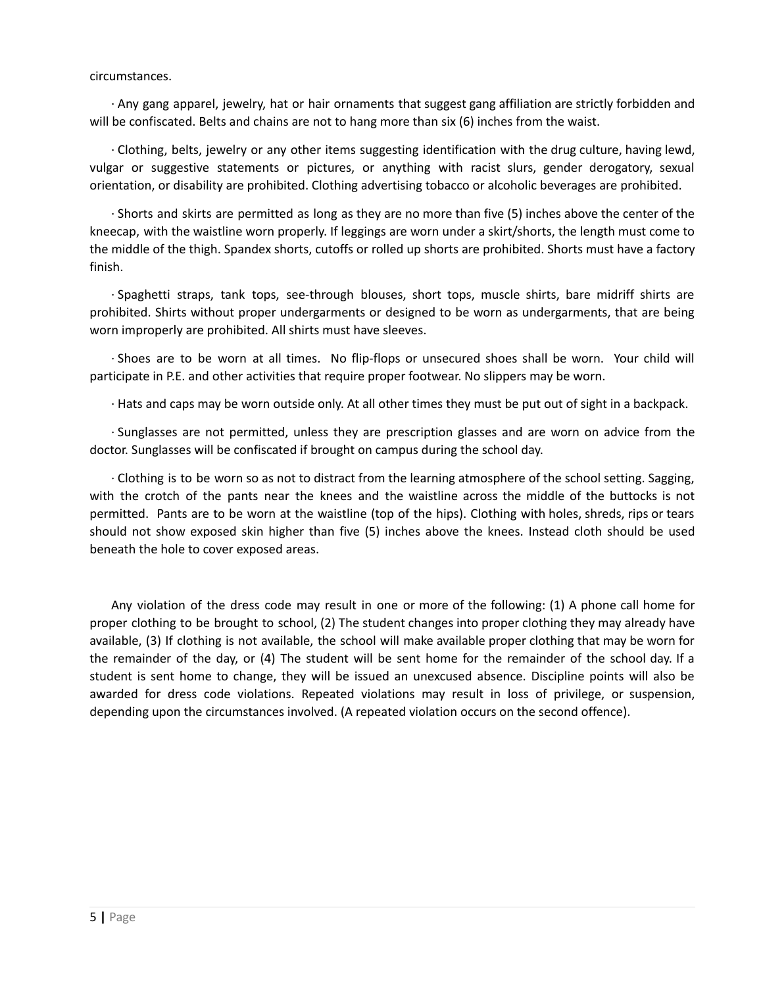#### circumstances.

∙ Any gang apparel, jewelry, hat or hair ornaments that suggest gang affiliation are strictly forbidden and will be confiscated. Belts and chains are not to hang more than six (6) inches from the waist.

∙ Clothing, belts, jewelry or any other items suggesting identification with the drug culture, having lewd, vulgar or suggestive statements or pictures, or anything with racist slurs, gender derogatory, sexual orientation, or disability are prohibited. Clothing advertising tobacco or alcoholic beverages are prohibited.

∙ Shorts and skirts are permitted as long as they are no more than five (5) inches above the center of the kneecap, with the waistline worn properly. If leggings are worn under a skirt/shorts, the length must come to the middle of the thigh. Spandex shorts, cutoffs or rolled up shorts are prohibited. Shorts must have a factory finish.

∙ Spaghetti straps, tank tops, see-through blouses, short tops, muscle shirts, bare midriff shirts are prohibited. Shirts without proper undergarments or designed to be worn as undergarments, that are being worn improperly are prohibited. All shirts must have sleeves.

∙ Shoes are to be worn at all times. No flip-flops or unsecured shoes shall be worn. Your child will participate in P.E. and other activities that require proper footwear. No slippers may be worn.

∙ Hats and caps may be worn outside only. At all other times they must be put out of sight in a backpack.

∙ Sunglasses are not permitted, unless they are prescription glasses and are worn on advice from the doctor. Sunglasses will be confiscated if brought on campus during the school day.

∙ Clothing is to be worn so as not to distract from the learning atmosphere of the school setting. Sagging, with the crotch of the pants near the knees and the waistline across the middle of the buttocks is not permitted. Pants are to be worn at the waistline (top of the hips). Clothing with holes, shreds, rips or tears should not show exposed skin higher than five (5) inches above the knees. Instead cloth should be used beneath the hole to cover exposed areas.

Any violation of the dress code may result in one or more of the following: (1) A phone call home for proper clothing to be brought to school, (2) The student changes into proper clothing they may already have available, (3) If clothing is not available, the school will make available proper clothing that may be worn for the remainder of the day, or (4) The student will be sent home for the remainder of the school day. If a student is sent home to change, they will be issued an unexcused absence. Discipline points will also be awarded for dress code violations. Repeated violations may result in loss of privilege, or suspension, depending upon the circumstances involved. (A repeated violation occurs on the second offence).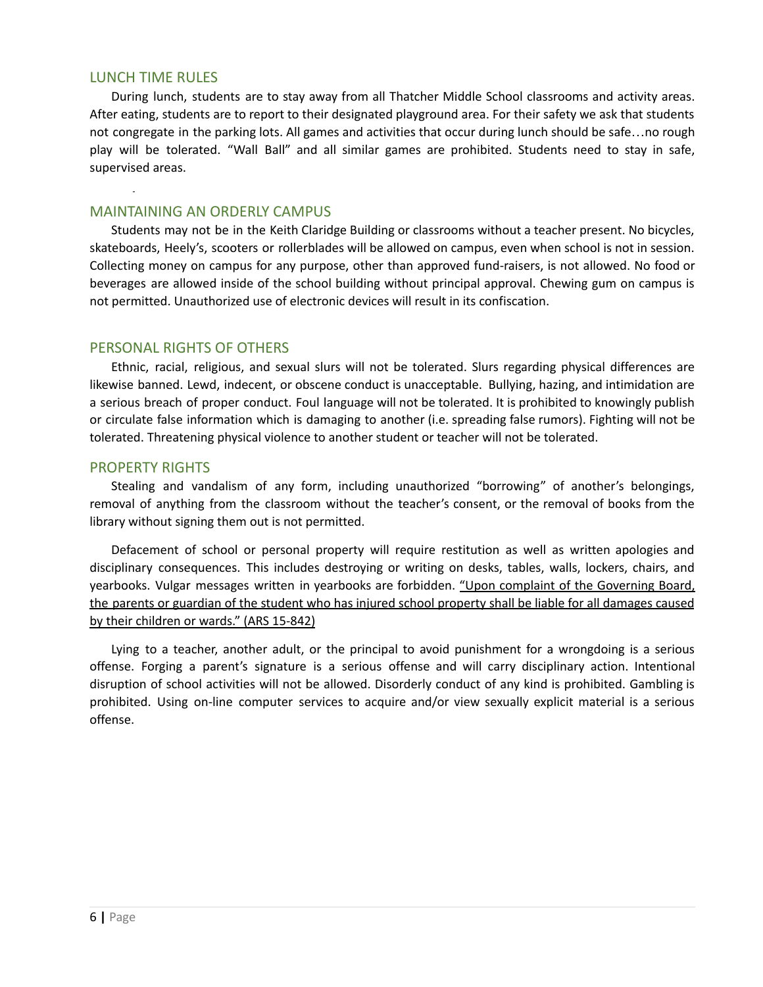#### LUNCH TIME RULES

During lunch, students are to stay away from all Thatcher Middle School classrooms and activity areas. After eating, students are to report to their designated playground area. For their safety we ask that students not congregate in the parking lots. All games and activities that occur during lunch should be safe…no rough play will be tolerated. "Wall Ball" and all similar games are prohibited. Students need to stay in safe, supervised areas.

#### MAINTAINING AN ORDERLY CAMPUS

Students may not be in the Keith Claridge Building or classrooms without a teacher present. No bicycles, skateboards, Heely's, scooters or rollerblades will be allowed on campus, even when school is not in session. Collecting money on campus for any purpose, other than approved fund-raisers, is not allowed. No food or beverages are allowed inside of the school building without principal approval. Chewing gum on campus is not permitted. Unauthorized use of electronic devices will result in its confiscation.

#### PERSONAL RIGHTS OF OTHERS

Ethnic, racial, religious, and sexual slurs will not be tolerated. Slurs regarding physical differences are likewise banned. Lewd, indecent, or obscene conduct is unacceptable. Bullying, hazing, and intimidation are a serious breach of proper conduct. Foul language will not be tolerated. It is prohibited to knowingly publish or circulate false information which is damaging to another (i.e. spreading false rumors). Fighting will not be tolerated. Threatening physical violence to another student or teacher will not be tolerated.

#### PROPERTY RIGHTS

Stealing and vandalism of any form, including unauthorized "borrowing" of another's belongings, removal of anything from the classroom without the teacher's consent, or the removal of books from the library without signing them out is not permitted.

Defacement of school or personal property will require restitution as well as written apologies and disciplinary consequences. This includes destroying or writing on desks, tables, walls, lockers, chairs, and yearbooks. Vulgar messages written in yearbooks are forbidden. "Upon complaint of the Governing Board, the parents or guardian of the student who has injured school property shall be liable for all damages caused by their children or wards." (ARS 15-842)

Lying to a teacher, another adult, or the principal to avoid punishment for a wrongdoing is a serious offense. Forging a parent's signature is a serious offense and will carry disciplinary action. Intentional disruption of school activities will not be allowed. Disorderly conduct of any kind is prohibited. Gambling is prohibited. Using on-line computer services to acquire and/or view sexually explicit material is a serious offense.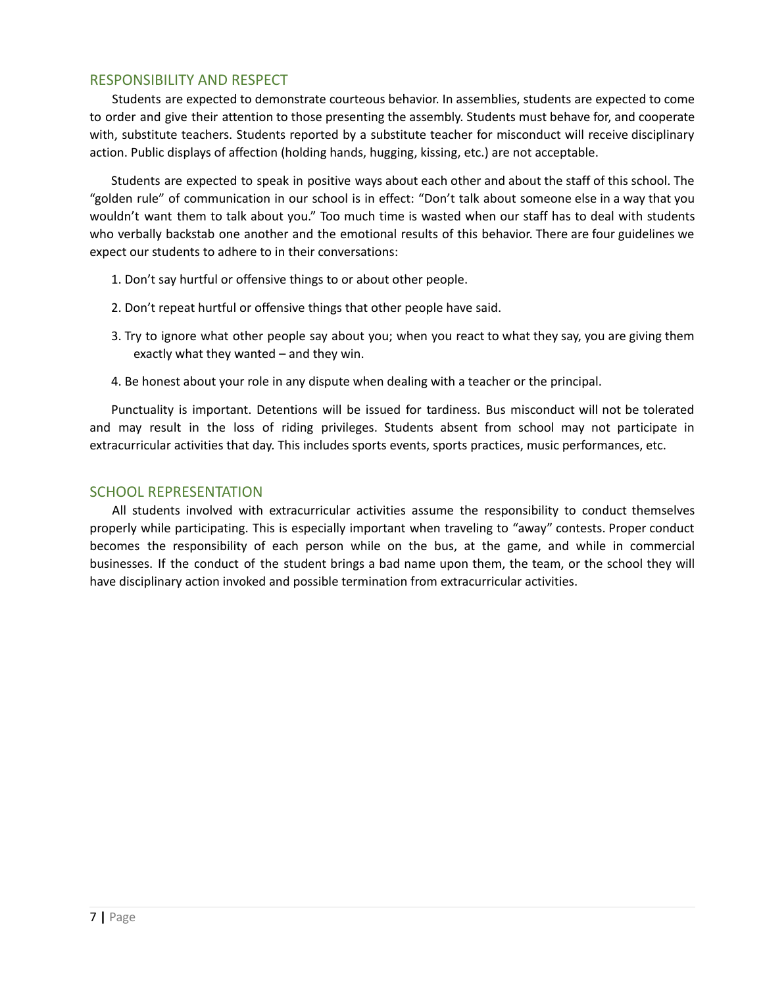#### RESPONSIBILITY AND RESPECT

Students are expected to demonstrate courteous behavior. In assemblies, students are expected to come to order and give their attention to those presenting the assembly. Students must behave for, and cooperate with, substitute teachers. Students reported by a substitute teacher for misconduct will receive disciplinary action. Public displays of affection (holding hands, hugging, kissing, etc.) are not acceptable.

Students are expected to speak in positive ways about each other and about the staff of this school. The "golden rule" of communication in our school is in effect: "Don't talk about someone else in a way that you wouldn't want them to talk about you." Too much time is wasted when our staff has to deal with students who verbally backstab one another and the emotional results of this behavior. There are four guidelines we expect our students to adhere to in their conversations:

- 1. Don't say hurtful or offensive things to or about other people.
- 2. Don't repeat hurtful or offensive things that other people have said.
- 3. Try to ignore what other people say about you; when you react to what they say, you are giving them exactly what they wanted – and they win.
- 4. Be honest about your role in any dispute when dealing with a teacher or the principal.

Punctuality is important. Detentions will be issued for tardiness. Bus misconduct will not be tolerated and may result in the loss of riding privileges. Students absent from school may not participate in extracurricular activities that day. This includes sports events, sports practices, music performances, etc.

#### SCHOOL REPRESENTATION

All students involved with extracurricular activities assume the responsibility to conduct themselves properly while participating. This is especially important when traveling to "away" contests. Proper conduct becomes the responsibility of each person while on the bus, at the game, and while in commercial businesses. If the conduct of the student brings a bad name upon them, the team, or the school they will have disciplinary action invoked and possible termination from extracurricular activities.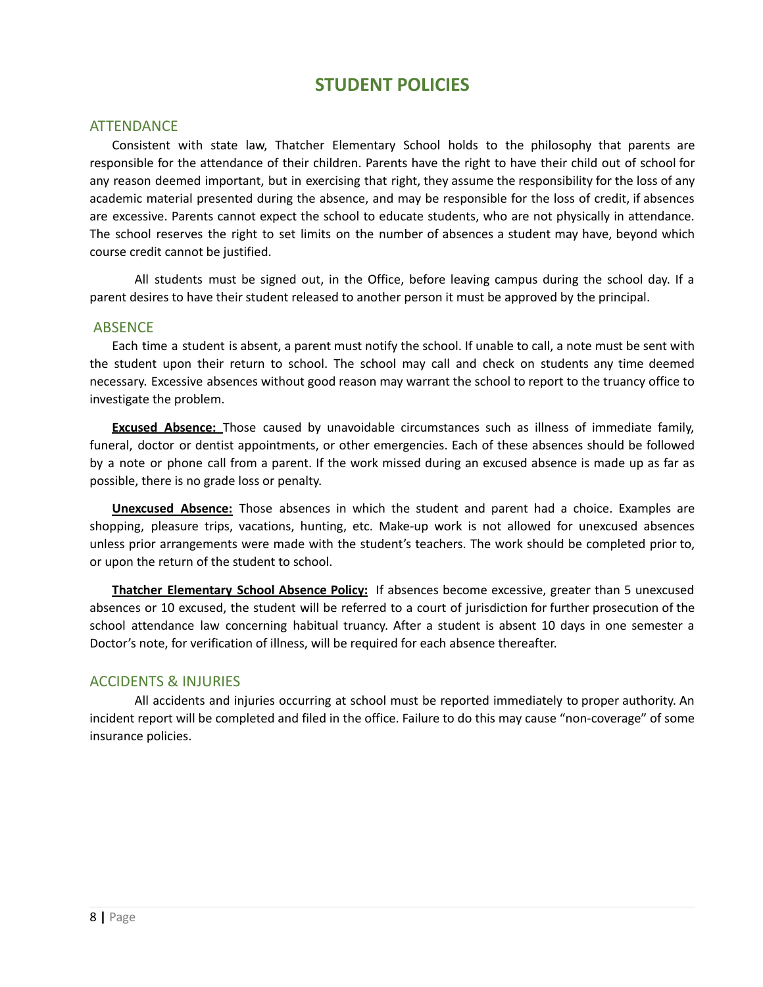# **STUDENT POLICIES**

#### **ATTENDANCE**

Consistent with state law, Thatcher Elementary School holds to the philosophy that parents are responsible for the attendance of their children. Parents have the right to have their child out of school for any reason deemed important, but in exercising that right, they assume the responsibility for the loss of any academic material presented during the absence, and may be responsible for the loss of credit, if absences are excessive. Parents cannot expect the school to educate students, who are not physically in attendance. The school reserves the right to set limits on the number of absences a student may have, beyond which course credit cannot be justified.

All students must be signed out, in the Office, before leaving campus during the school day. If a parent desires to have their student released to another person it must be approved by the principal.

#### ABSENCE

Each time a student is absent, a parent must notify the school. If unable to call, a note must be sent with the student upon their return to school. The school may call and check on students any time deemed necessary. Excessive absences without good reason may warrant the school to report to the truancy office to investigate the problem.

**Excused Absence:** Those caused by unavoidable circumstances such as illness of immediate family, funeral, doctor or dentist appointments, or other emergencies. Each of these absences should be followed by a note or phone call from a parent. If the work missed during an excused absence is made up as far as possible, there is no grade loss or penalty.

**Unexcused Absence:** Those absences in which the student and parent had a choice. Examples are shopping, pleasure trips, vacations, hunting, etc. Make-up work is not allowed for unexcused absences unless prior arrangements were made with the student's teachers. The work should be completed prior to, or upon the return of the student to school.

**Thatcher Elementary School Absence Policy:** If absences become excessive, greater than 5 unexcused absences or 10 excused, the student will be referred to a court of jurisdiction for further prosecution of the school attendance law concerning habitual truancy. After a student is absent 10 days in one semester a Doctor's note, for verification of illness, will be required for each absence thereafter.

#### ACCIDENTS & INJURIES

All accidents and injuries occurring at school must be reported immediately to proper authority. An incident report will be completed and filed in the office. Failure to do this may cause "non-coverage" of some insurance policies.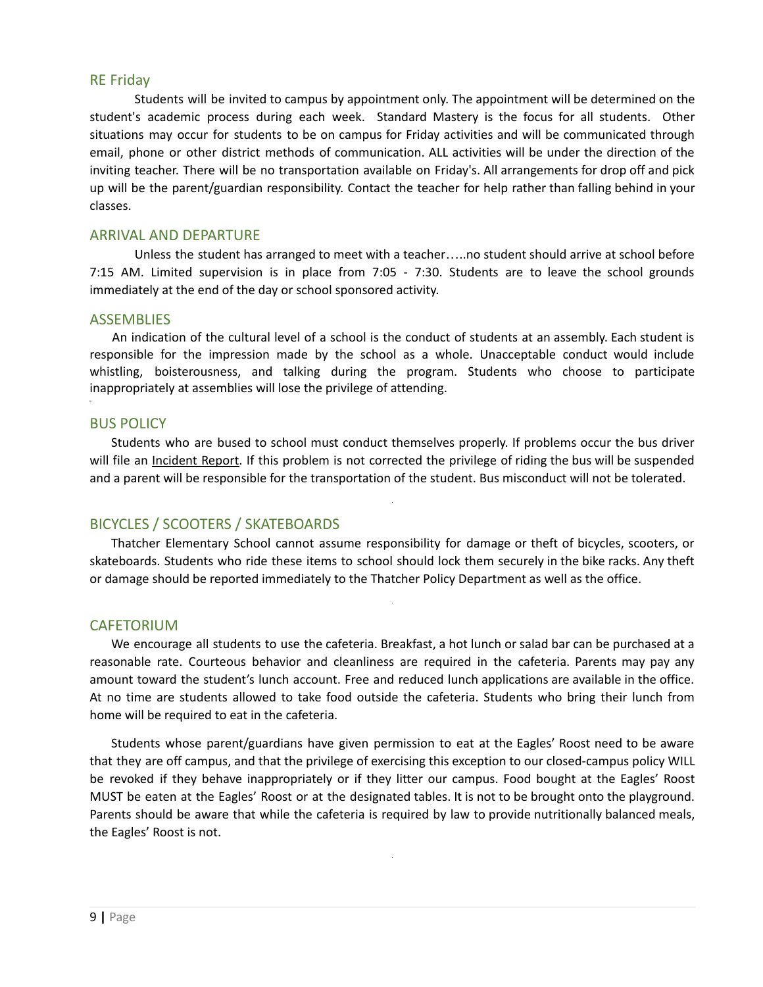#### RE Friday

Students will be invited to campus by appointment only. The appointment will be determined on the student's academic process during each week. Standard Mastery is the focus for all students. Other situations may occur for students to be on campus for Friday activities and will be communicated through email, phone or other district methods of communication. ALL activities will be under the direction of the inviting teacher. There will be no transportation available on Friday's. All arrangements for drop off and pick up will be the parent/guardian responsibility. Contact the teacher for help rather than falling behind in your classes.

#### ARRIVAL AND DEPARTURE

Unless the student has arranged to meet with a teacher…..no student should arrive at school before 7:15 AM. Limited supervision is in place from 7:05 - 7:30. Students are to leave the school grounds immediately at the end of the day or school sponsored activity.

#### ASSEMBLIES

An indication of the cultural level of a school is the conduct of students at an assembly. Each student is responsible for the impression made by the school as a whole. Unacceptable conduct would include whistling, boisterousness, and talking during the program. Students who choose to participate inappropriately at assemblies will lose the privilege of attending.

#### BUS POLICY

Students who are bused to school must conduct themselves properly. If problems occur the bus driver will file an Incident Report. If this problem is not corrected the privilege of riding the bus will be suspended and a parent will be responsible for the transportation of the student. Bus misconduct will not be tolerated.

#### BICYCLES / SCOOTERS / SKATEBOARDS

Thatcher Elementary School cannot assume responsibility for damage or theft of bicycles, scooters, or skateboards. Students who ride these items to school should lock them securely in the bike racks. Any theft or damage should be reported immediately to the Thatcher Policy Department as well as the office.

#### **CAFETORIUM**

We encourage all students to use the cafeteria. Breakfast, a hot lunch or salad bar can be purchased at a reasonable rate. Courteous behavior and cleanliness are required in the cafeteria. Parents may pay any amount toward the student's lunch account. Free and reduced lunch applications are available in the office. At no time are students allowed to take food outside the cafeteria. Students who bring their lunch from home will be required to eat in the cafeteria.

Students whose parent/guardians have given permission to eat at the Eagles' Roost need to be aware that they are off campus, and that the privilege of exercising this exception to our closed-campus policy WILL be revoked if they behave inappropriately or if they litter our campus. Food bought at the Eagles' Roost MUST be eaten at the Eagles' Roost or at the designated tables. It is not to be brought onto the playground. Parents should be aware that while the cafeteria is required by law to provide nutritionally balanced meals, the Eagles' Roost is not.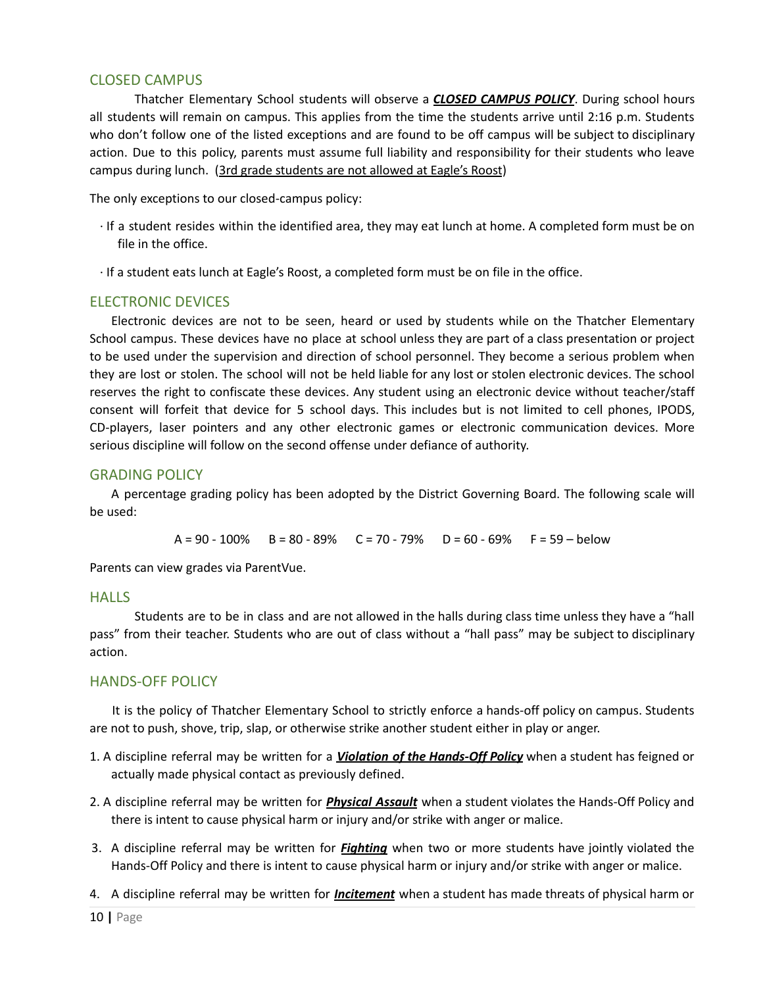#### CLOSED CAMPUS

Thatcher Elementary School students will observe a *CLOSED CAMPUS POLICY*. During school hours all students will remain on campus. This applies from the time the students arrive until 2:16 p.m. Students who don't follow one of the listed exceptions and are found to be off campus will be subject to disciplinary action. Due to this policy, parents must assume full liability and responsibility for their students who leave campus during lunch. (3rd grade students are not allowed at Eagle's Roost)

The only exceptions to our closed-campus policy:

- ∙ If a student resides within the identified area, they may eat lunch at home. A completed form must be on file in the office.
- ∙ If a student eats lunch at Eagle's Roost, a completed form must be on file in the office.

#### ELECTRONIC DEVICES

Electronic devices are not to be seen, heard or used by students while on the Thatcher Elementary School campus. These devices have no place at school unless they are part of a class presentation or project to be used under the supervision and direction of school personnel. They become a serious problem when they are lost or stolen. The school will not be held liable for any lost or stolen electronic devices. The school reserves the right to confiscate these devices. Any student using an electronic device without teacher/staff consent will forfeit that device for 5 school days. This includes but is not limited to cell phones, IPODS, CD-players, laser pointers and any other electronic games or electronic communication devices. More serious discipline will follow on the second offense under defiance of authority.

#### GRADING POLICY

A percentage grading policy has been adopted by the District Governing Board. The following scale will be used:

 $A = 90 - 100\%$  B = 80 - 89% C = 70 - 79% D = 60 - 69% F = 59 - below

Parents can view grades via ParentVue.

#### HALLS

Students are to be in class and are not allowed in the halls during class time unless they have a "hall pass" from their teacher. Students who are out of class without a "hall pass" may be subject to disciplinary action.

#### HANDS-OFF POLICY

It is the policy of Thatcher Elementary School to strictly enforce a hands-off policy on campus. Students are not to push, shove, trip, slap, or otherwise strike another student either in play or anger.

- 1. A discipline referral may be written for a *Violation of the Hands-Off Policy* when a student has feigned or actually made physical contact as previously defined.
- 2. A discipline referral may be written for *Physical Assault* when a student violates the Hands-Off Policy and there is intent to cause physical harm or injury and/or strike with anger or malice.
- 3. A discipline referral may be written for *Fighting* when two or more students have jointly violated the Hands-Off Policy and there is intent to cause physical harm or injury and/or strike with anger or malice.
- 4. A discipline referral may be written for *Incitement* when a student has made threats of physical harm or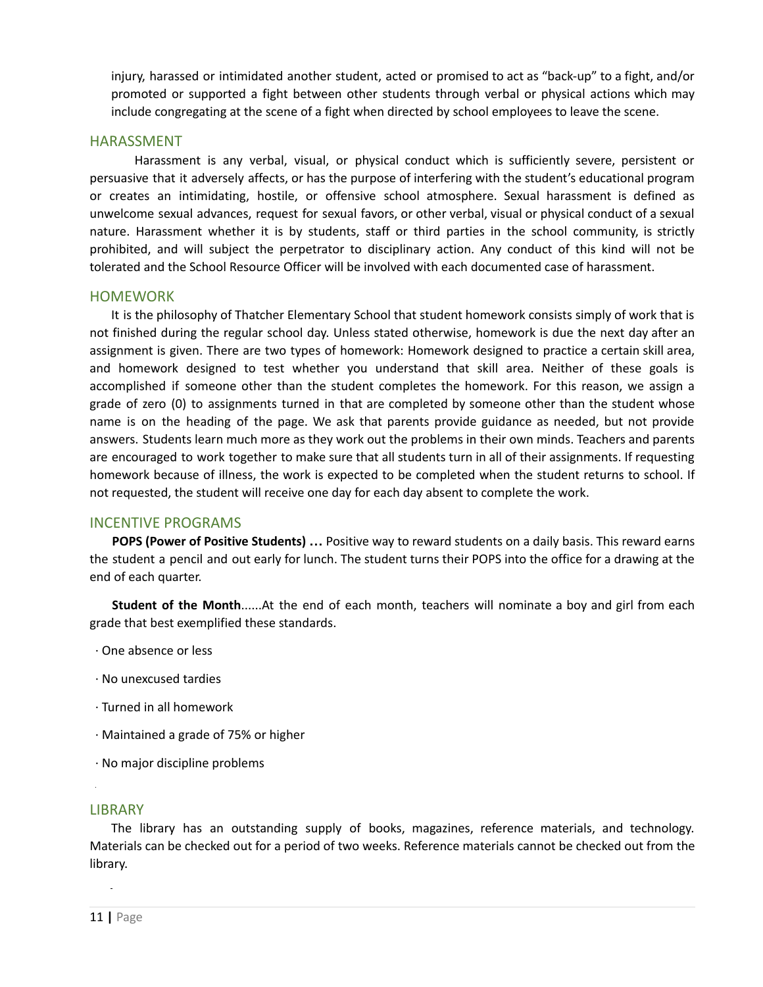injury, harassed or intimidated another student, acted or promised to act as "back-up" to a fight, and/or promoted or supported a fight between other students through verbal or physical actions which may include congregating at the scene of a fight when directed by school employees to leave the scene.

#### HARASSMENT

Harassment is any verbal, visual, or physical conduct which is sufficiently severe, persistent or persuasive that it adversely affects, or has the purpose of interfering with the student's educational program or creates an intimidating, hostile, or offensive school atmosphere. Sexual harassment is defined as unwelcome sexual advances, request for sexual favors, or other verbal, visual or physical conduct of a sexual nature. Harassment whether it is by students, staff or third parties in the school community, is strictly prohibited, and will subject the perpetrator to disciplinary action. Any conduct of this kind will not be tolerated and the School Resource Officer will be involved with each documented case of harassment.

#### HOMEWORK

It is the philosophy of Thatcher Elementary School that student homework consists simply of work that is not finished during the regular school day. Unless stated otherwise, homework is due the next day after an assignment is given. There are two types of homework: Homework designed to practice a certain skill area, and homework designed to test whether you understand that skill area. Neither of these goals is accomplished if someone other than the student completes the homework. For this reason, we assign a grade of zero (0) to assignments turned in that are completed by someone other than the student whose name is on the heading of the page. We ask that parents provide guidance as needed, but not provide answers. Students learn much more as they work out the problems in their own minds. Teachers and parents are encouraged to work together to make sure that all students turn in all of their assignments. If requesting homework because of illness, the work is expected to be completed when the student returns to school. If not requested, the student will receive one day for each day absent to complete the work.

#### INCENTIVE PROGRAMS

**POPS (Power of Positive Students) …** Positive way to reward students on a daily basis. This reward earns the student a pencil and out early for lunch. The student turns their POPS into the office for a drawing at the end of each quarter.

**Student of the Month**......At the end of each month, teachers will nominate a boy and girl from each grade that best exemplified these standards.

- ∙ One absence or less
- ∙ No unexcused tardies
- ∙ Turned in all homework
- ∙ Maintained a grade of 75% or higher
- ∙ No major discipline problems

#### **LIBRARY**

The library has an outstanding supply of books, magazines, reference materials, and technology. Materials can be checked out for a period of two weeks. Reference materials cannot be checked out from the library.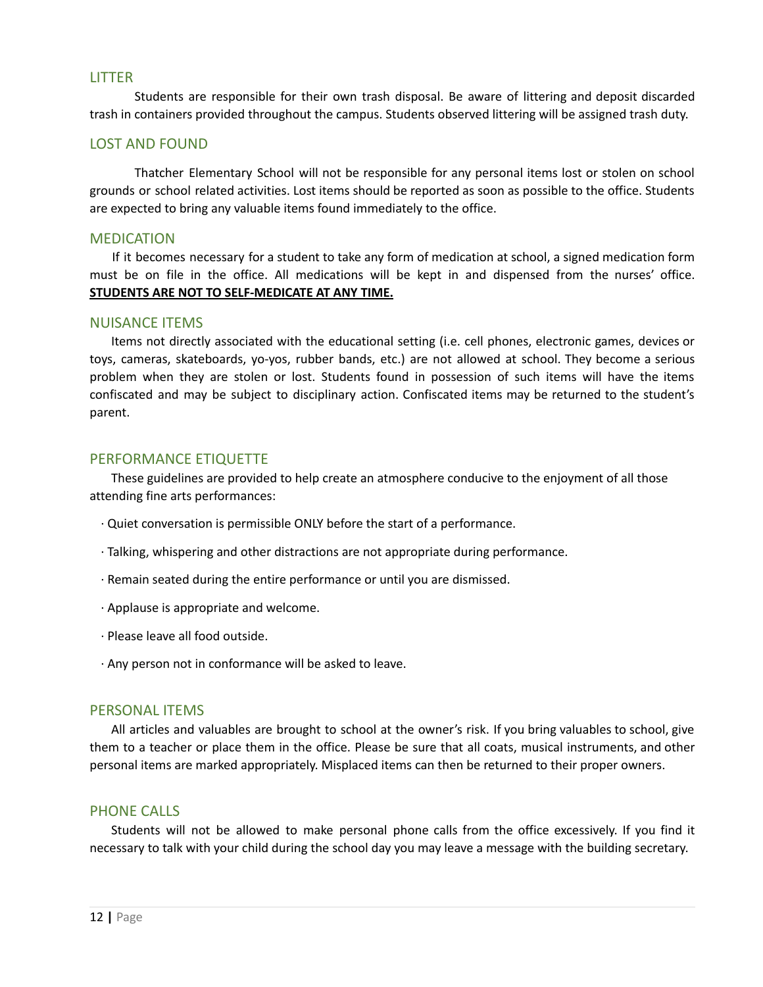#### LITTER

Students are responsible for their own trash disposal. Be aware of littering and deposit discarded trash in containers provided throughout the campus. Students observed littering will be assigned trash duty.

#### LOST AND FOUND

Thatcher Elementary School will not be responsible for any personal items lost or stolen on school grounds or school related activities. Lost items should be reported as soon as possible to the office. Students are expected to bring any valuable items found immediately to the office.

#### MEDICATION

If it becomes necessary for a student to take any form of medication at school, a signed medication form must be on file in the office. All medications will be kept in and dispensed from the nurses' office. **STUDENTS ARE NOT TO SELF-MEDICATE AT ANY TIME.**

#### NUISANCE ITEMS

Items not directly associated with the educational setting (i.e. cell phones, electronic games, devices or toys, cameras, skateboards, yo-yos, rubber bands, etc.) are not allowed at school. They become a serious problem when they are stolen or lost. Students found in possession of such items will have the items confiscated and may be subject to disciplinary action. Confiscated items may be returned to the student's parent.

#### PERFORMANCE ETIQUETTE

These guidelines are provided to help create an atmosphere conducive to the enjoyment of all those attending fine arts performances:

- ∙ Quiet conversation is permissible ONLY before the start of a performance.
- ∙ Talking, whispering and other distractions are not appropriate during performance.
- ∙ Remain seated during the entire performance or until you are dismissed.
- ∙ Applause is appropriate and welcome.
- ∙ Please leave all food outside.
- ∙ Any person not in conformance will be asked to leave.

#### PERSONAL ITEMS

All articles and valuables are brought to school at the owner's risk. If you bring valuables to school, give them to a teacher or place them in the office. Please be sure that all coats, musical instruments, and other personal items are marked appropriately. Misplaced items can then be returned to their proper owners.

#### PHONE CALLS

Students will not be allowed to make personal phone calls from the office excessively. If you find it necessary to talk with your child during the school day you may leave a message with the building secretary.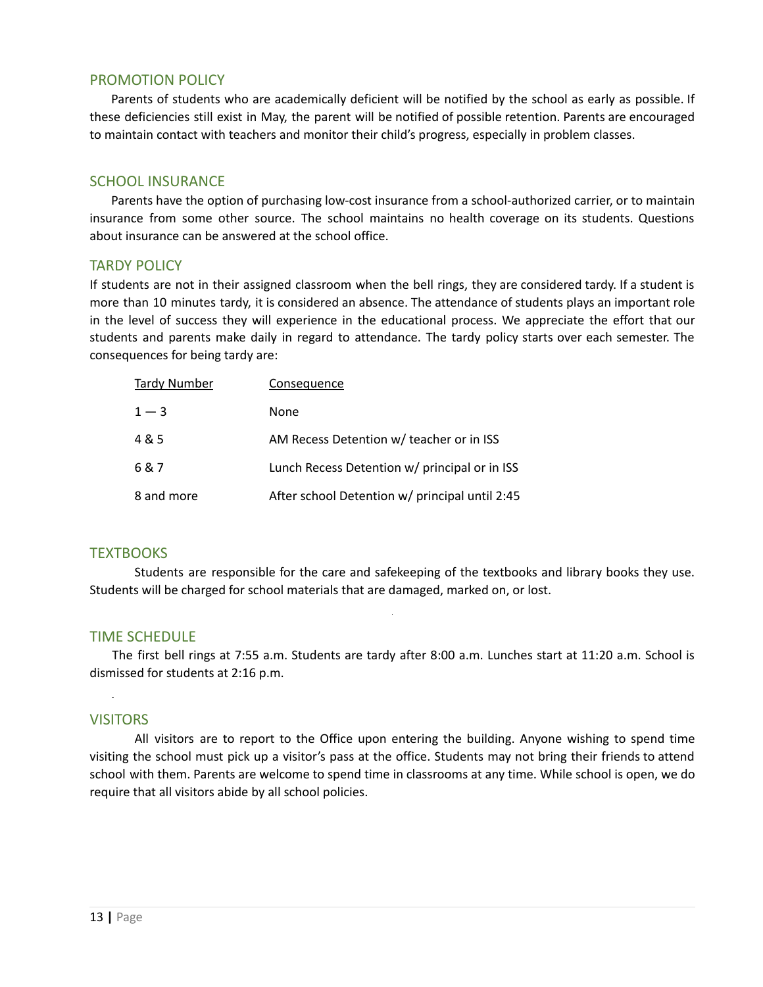#### PROMOTION POLICY

Parents of students who are academically deficient will be notified by the school as early as possible. If these deficiencies still exist in May, the parent will be notified of possible retention. Parents are encouraged to maintain contact with teachers and monitor their child's progress, especially in problem classes.

#### SCHOOL INSURANCE

Parents have the option of purchasing low-cost insurance from a school-authorized carrier, or to maintain insurance from some other source. The school maintains no health coverage on its students. Questions about insurance can be answered at the school office.

#### TARDY POLICY

If students are not in their assigned classroom when the bell rings, they are considered tardy. If a student is more than 10 minutes tardy, it is considered an absence. The attendance of students plays an important role in the level of success they will experience in the educational process. We appreciate the effort that our students and parents make daily in regard to attendance. The tardy policy starts over each semester. The consequences for being tardy are:

| <b>Tardy Number</b> | Consequence                                    |
|---------------------|------------------------------------------------|
| $1 - 3$             | None                                           |
| 4 & 5               | AM Recess Detention w/ teacher or in ISS       |
| 6 & 7               | Lunch Recess Detention w/ principal or in ISS  |
| 8 and more          | After school Detention w/ principal until 2:45 |

#### **TEXTBOOKS**

Students are responsible for the care and safekeeping of the textbooks and library books they use. Students will be charged for school materials that are damaged, marked on, or lost.

#### TIME SCHEDULE

The first bell rings at 7:55 a.m. Students are tardy after 8:00 a.m. Lunches start at 11:20 a.m. School is dismissed for students at 2:16 p.m.

#### **VISITORS**

All visitors are to report to the Office upon entering the building. Anyone wishing to spend time visiting the school must pick up a visitor's pass at the office. Students may not bring their friends to attend school with them. Parents are welcome to spend time in classrooms at any time. While school is open, we do require that all visitors abide by all school policies.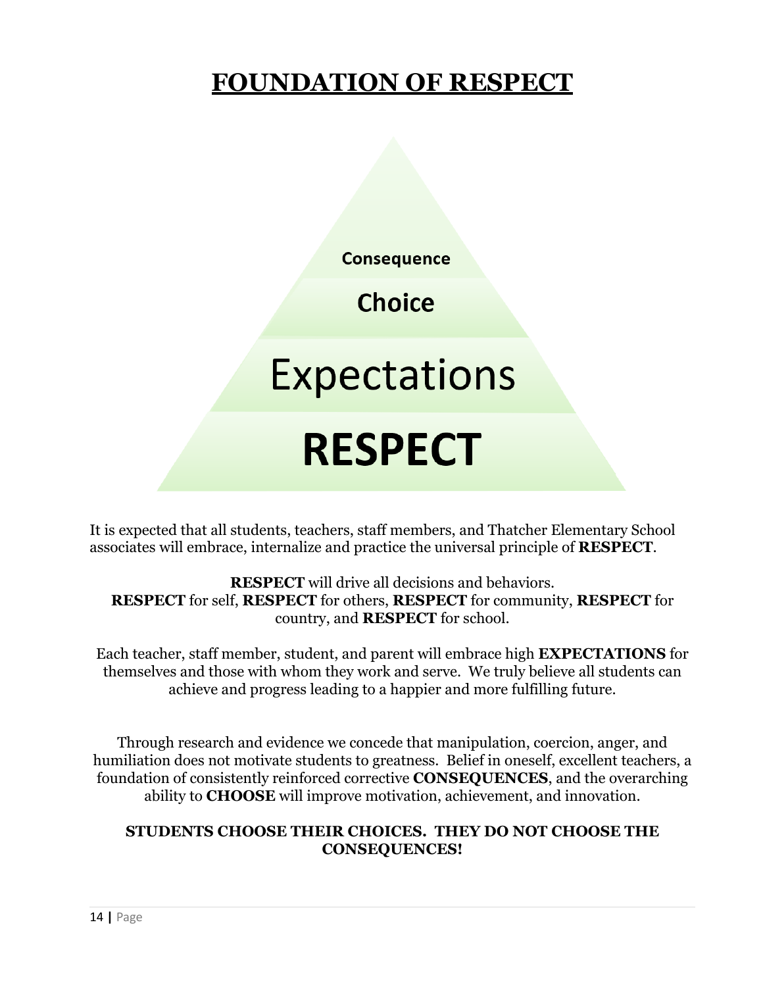# **FOUNDATION OF RESPECT**

**Consequence** 

**Choice** 

**Expectations** 

# **RESPECT**

It is expected that all students, teachers, staff members, and Thatcher Elementary School associates will embrace, internalize and practice the universal principle of **RESPECT**.

**RESPECT** will drive all decisions and behaviors. **RESPECT** for self, **RESPECT** for others, **RESPECT** for community, **RESPECT** for country, and **RESPECT** for school.

Each teacher, staff member, student, and parent will embrace high **EXPECTATIONS** for themselves and those with whom they work and serve. We truly believe all students can achieve and progress leading to a happier and more fulfilling future.

Through research and evidence we concede that manipulation, coercion, anger, and humiliation does not motivate students to greatness. Belief in oneself, excellent teachers, a foundation of consistently reinforced corrective **CONSEQUENCES**, and the overarching ability to **CHOOSE** will improve motivation, achievement, and innovation.

# **STUDENTS CHOOSE THEIR CHOICES. THEY DO NOT CHOOSE THE CONSEQUENCES!**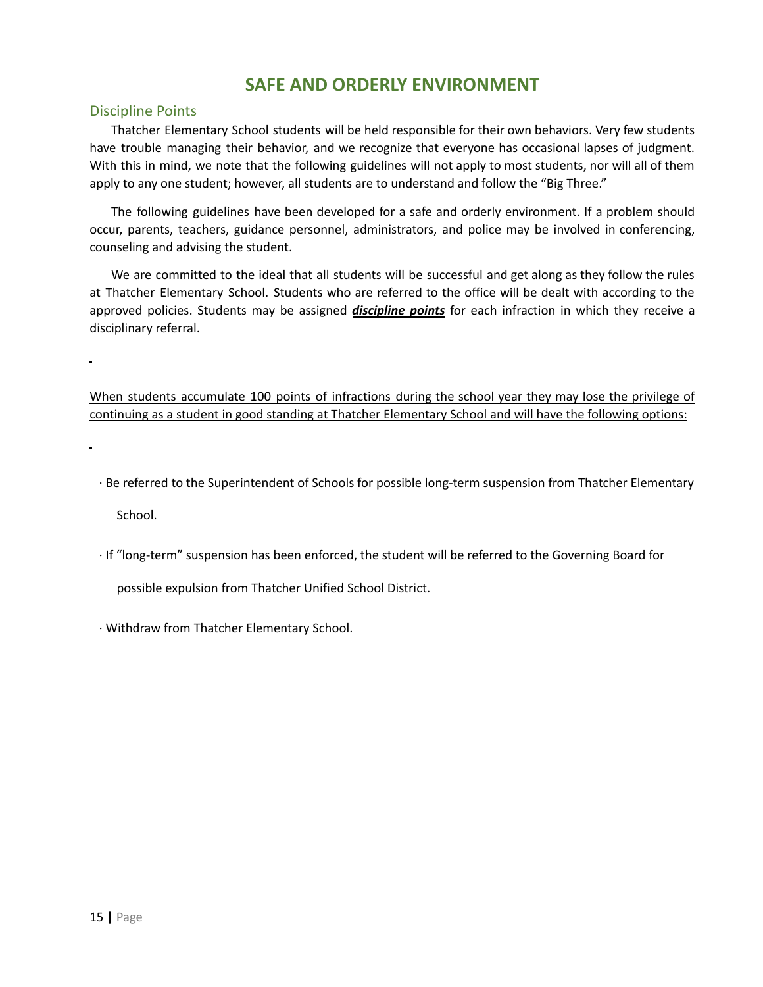# **SAFE AND ORDERLY ENVIRONMENT**

#### Discipline Points

Thatcher Elementary School students will be held responsible for their own behaviors. Very few students have trouble managing their behavior, and we recognize that everyone has occasional lapses of judgment. With this in mind, we note that the following guidelines will not apply to most students, nor will all of them apply to any one student; however, all students are to understand and follow the "Big Three."

The following guidelines have been developed for a safe and orderly environment. If a problem should occur, parents, teachers, guidance personnel, administrators, and police may be involved in conferencing, counseling and advising the student.

We are committed to the ideal that all students will be successful and get along as they follow the rules at Thatcher Elementary School. Students who are referred to the office will be dealt with according to the approved policies. Students may be assigned *discipline points* for each infraction in which they receive a disciplinary referral.

When students accumulate 100 points of infractions during the school year they may lose the privilege of continuing as a student in good standing at Thatcher Elementary School and will have the following options:

∙ Be referred to the Superintendent of Schools for possible long-term suspension from Thatcher Elementary

School.

∙ If "long-term" suspension has been enforced, the student will be referred to the Governing Board for

possible expulsion from Thatcher Unified School District.

∙ Withdraw from Thatcher Elementary School.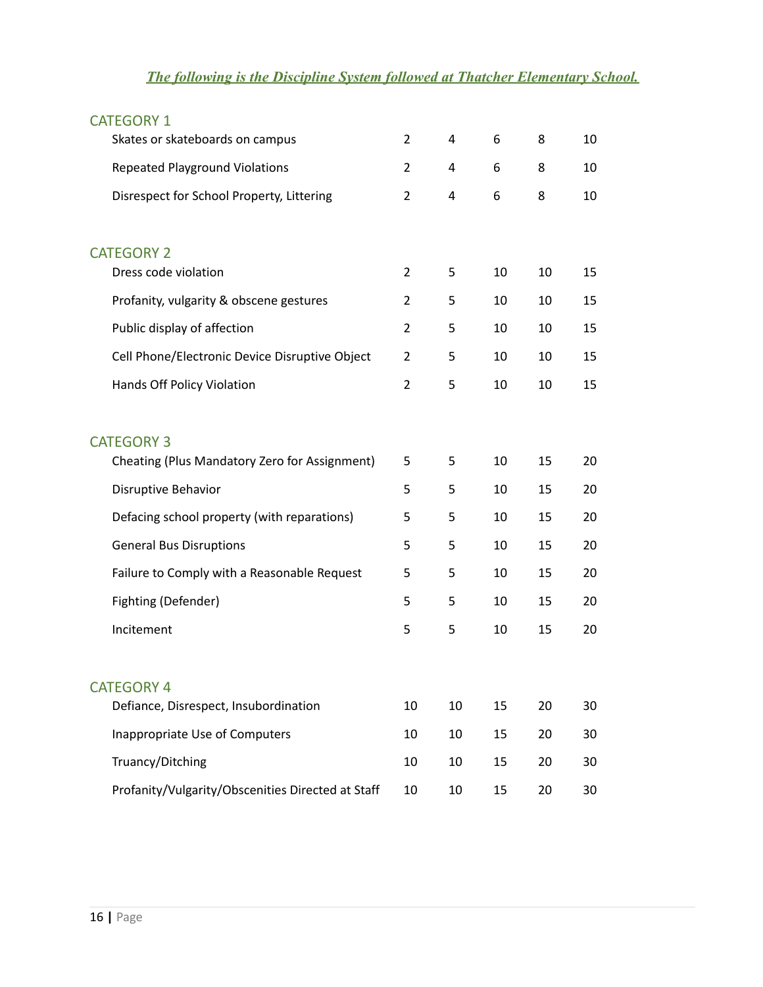# *The following is the Discipline System followed at Thatcher Elementary School.*

| <b>CATEGORY 1</b>                                 |                |    |    |    |    |
|---------------------------------------------------|----------------|----|----|----|----|
| Skates or skateboards on campus                   | $\overline{2}$ | 4  | 6  | 8  | 10 |
| <b>Repeated Playground Violations</b>             | 2              | 4  | 6  | 8  | 10 |
| Disrespect for School Property, Littering         | 2              | 4  | 6  | 8  | 10 |
| <b>CATEGORY 2</b>                                 |                |    |    |    |    |
| Dress code violation                              | $\overline{2}$ | 5  | 10 | 10 | 15 |
| Profanity, vulgarity & obscene gestures           | 2              | 5  | 10 | 10 | 15 |
| Public display of affection                       | 2              | 5  | 10 | 10 | 15 |
| Cell Phone/Electronic Device Disruptive Object    | 2              | 5  | 10 | 10 | 15 |
| Hands Off Policy Violation                        | 2              | 5  | 10 | 10 | 15 |
| <b>CATEGORY 3</b>                                 |                |    |    |    |    |
| Cheating (Plus Mandatory Zero for Assignment)     | 5              | 5  | 10 | 15 | 20 |
| Disruptive Behavior                               | 5              | 5  | 10 | 15 | 20 |
| Defacing school property (with reparations)       | 5              | 5  | 10 | 15 | 20 |
| <b>General Bus Disruptions</b>                    | 5              | 5  | 10 | 15 | 20 |
| Failure to Comply with a Reasonable Request       | 5              | 5  | 10 | 15 | 20 |
| Fighting (Defender)                               | 5              | 5  | 10 | 15 | 20 |
| Incitement                                        | 5              | 5  | 10 | 15 | 20 |
| <b>CATEGORY 4</b>                                 |                |    |    |    |    |
| Defiance, Disrespect, Insubordination             | 10             | 10 | 15 | 20 | 30 |
| Inappropriate Use of Computers                    | 10             | 10 | 15 | 20 | 30 |
| Truancy/Ditching                                  | 10             | 10 | 15 | 20 | 30 |
| Profanity/Vulgarity/Obscenities Directed at Staff | 10             | 10 | 15 | 20 | 30 |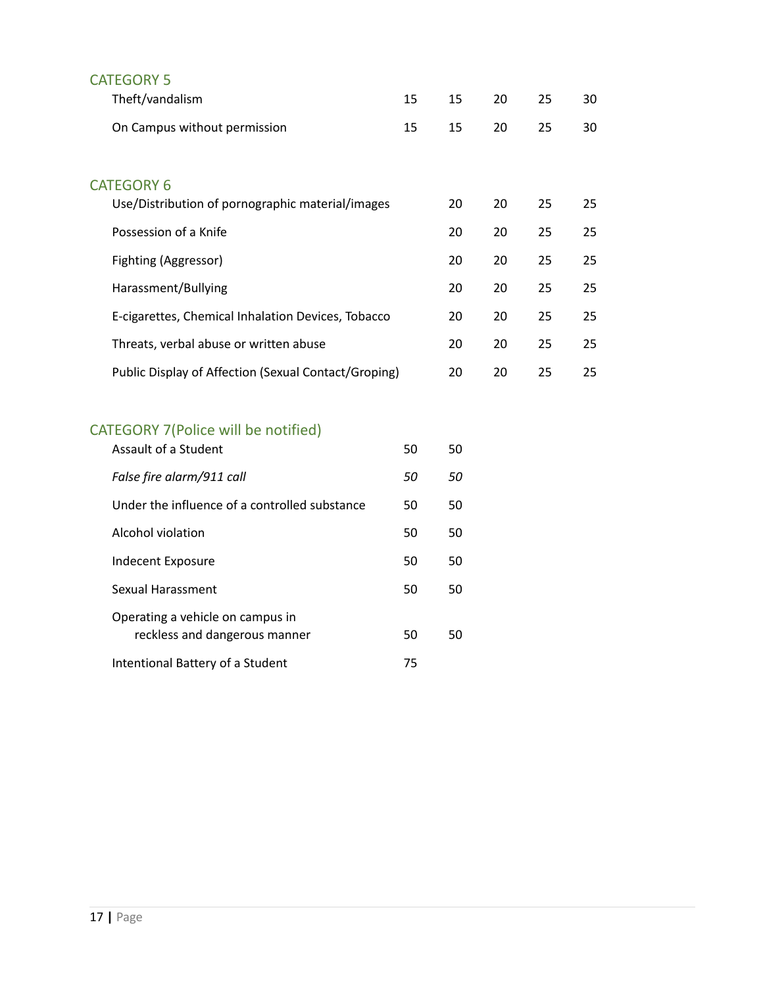| <b>CATEGORY 5</b>                                    |    |    |    |    |    |
|------------------------------------------------------|----|----|----|----|----|
| Theft/vandalism                                      | 15 | 15 | 20 | 25 | 30 |
| On Campus without permission                         | 15 | 15 | 20 | 25 | 30 |
| <b>CATEGORY 6</b>                                    |    |    |    |    |    |
| Use/Distribution of pornographic material/images     |    | 20 | 20 | 25 | 25 |
| Possession of a Knife                                |    | 20 | 20 | 25 | 25 |
| Fighting (Aggressor)                                 |    | 20 | 20 | 25 | 25 |
| Harassment/Bullying                                  |    | 20 | 20 | 25 | 25 |
| E-cigarettes, Chemical Inhalation Devices, Tobacco   |    | 20 | 20 | 25 | 25 |
| Threats, verbal abuse or written abuse               |    | 20 | 20 | 25 | 25 |
| Public Display of Affection (Sexual Contact/Groping) |    | 20 | 20 | 25 | 25 |

# CATEGORY 7(Police will be notified)

| Assault of a Student                          | 50 | 50 |
|-----------------------------------------------|----|----|
| False fire alarm/911 call                     | 50 | 50 |
| Under the influence of a controlled substance | 50 | 50 |
| Alcohol violation                             | 50 | 50 |
| Indecent Exposure                             | 50 | 50 |
| Sexual Harassment                             | 50 | 50 |
| Operating a vehicle on campus in              |    |    |
| reckless and dangerous manner                 | 50 | 50 |
| Intentional Battery of a Student              | 75 |    |
|                                               |    |    |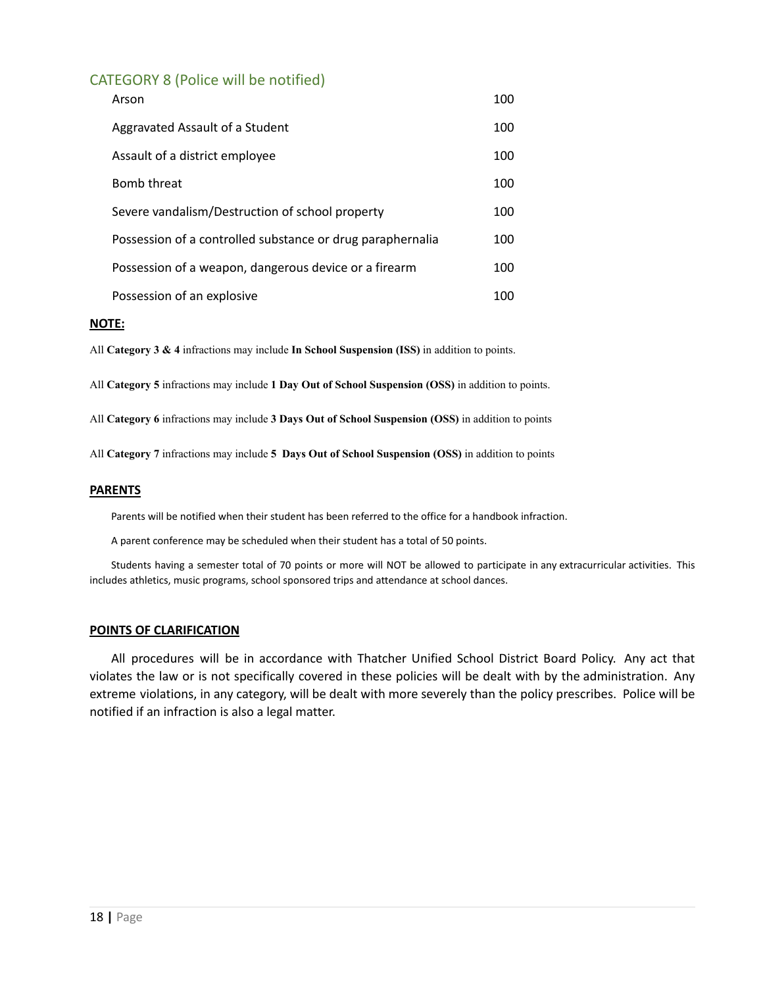# CATEGORY 8 (Police will be notified)

| Arson                                                      | 100 |
|------------------------------------------------------------|-----|
| Aggravated Assault of a Student                            | 100 |
| Assault of a district employee                             | 100 |
| Bomb threat                                                | 100 |
| Severe vandalism/Destruction of school property            | 100 |
| Possession of a controlled substance or drug paraphernalia | 100 |
| Possession of a weapon, dangerous device or a firearm      | 100 |
| Possession of an explosive                                 | 100 |

#### **NOTE:**

All **Category 3 & 4** infractions may include **In School Suspension (ISS)** in addition to points.

All **Category 5** infractions may include **1 Day Out of School Suspension (OSS)** in addition to points.

All **Category 6** infractions may include **3 Days Out of School Suspension (OSS)** in addition to points

All **Category 7** infractions may include **5 Days Out of School Suspension (OSS)** in addition to points

#### **PARENTS**

Parents will be notified when their student has been referred to the office for a handbook infraction.

A parent conference may be scheduled when their student has a total of 50 points.

Students having a semester total of 70 points or more will NOT be allowed to participate in any extracurricular activities. This includes athletics, music programs, school sponsored trips and attendance at school dances.

#### **POINTS OF CLARIFICATION**

All procedures will be in accordance with Thatcher Unified School District Board Policy. Any act that violates the law or is not specifically covered in these policies will be dealt with by the administration. Any extreme violations, in any category, will be dealt with more severely than the policy prescribes. Police will be notified if an infraction is also a legal matter.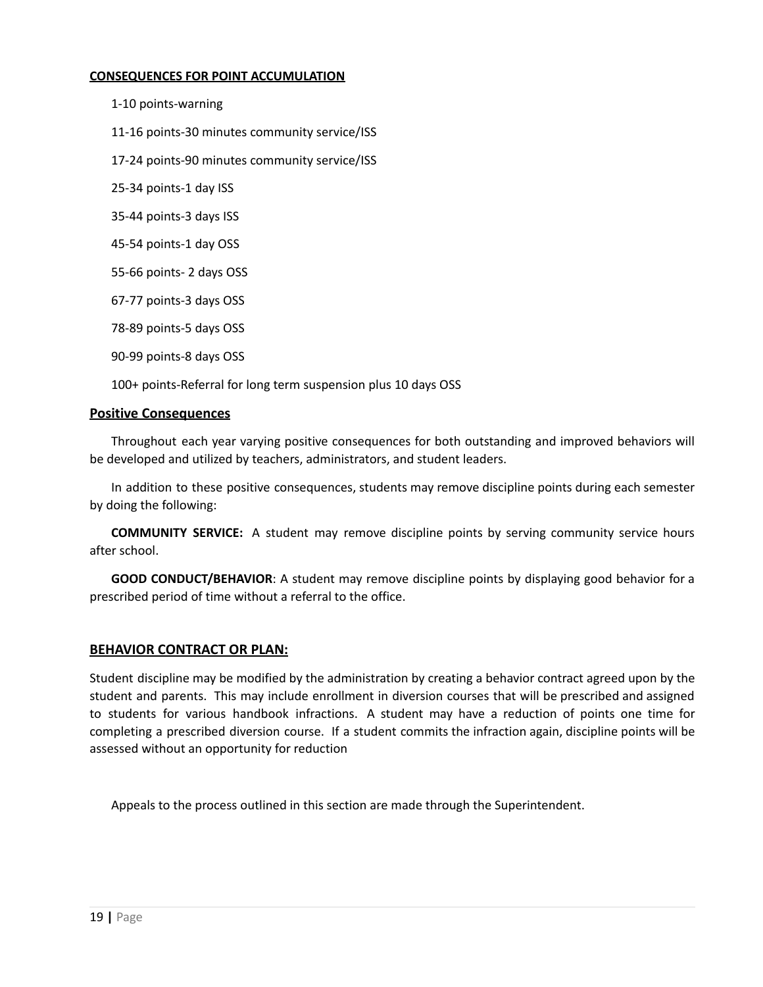#### **CONSEQUENCES FOR POINT ACCUMULATION**

1-10 points-warning

11-16 points-30 minutes community service/ISS

17-24 points-90 minutes community service/ISS

25-34 points-1 day ISS

35-44 points-3 days ISS

45-54 points-1 day OSS

55-66 points- 2 days OSS

67-77 points-3 days OSS

78-89 points-5 days OSS

90-99 points-8 days OSS

100+ points-Referral for long term suspension plus 10 days OSS

#### **Positive Consequences**

Throughout each year varying positive consequences for both outstanding and improved behaviors will be developed and utilized by teachers, administrators, and student leaders.

In addition to these positive consequences, students may remove discipline points during each semester by doing the following:

**COMMUNITY SERVICE:** A student may remove discipline points by serving community service hours after school.

**GOOD CONDUCT/BEHAVIOR**: A student may remove discipline points by displaying good behavior for a prescribed period of time without a referral to the office.

#### **BEHAVIOR CONTRACT OR PLAN:**

Student discipline may be modified by the administration by creating a behavior contract agreed upon by the student and parents. This may include enrollment in diversion courses that will be prescribed and assigned to students for various handbook infractions. A student may have a reduction of points one time for completing a prescribed diversion course. If a student commits the infraction again, discipline points will be assessed without an opportunity for reduction

Appeals to the process outlined in this section are made through the Superintendent.